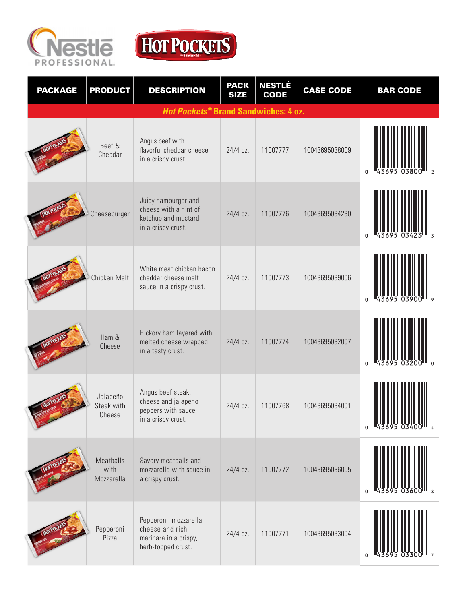



| <b>PACKAGE</b>                                         | <b>PRODUCT</b>                   | <b>DESCRIPTION</b>                                                                        | <b>PACK</b><br><b>SIZE</b> | <b>NESTLÉ</b><br><b>CODE</b> | <b>CASE CODE</b> | <b>BAR CODE</b> |  |
|--------------------------------------------------------|----------------------------------|-------------------------------------------------------------------------------------------|----------------------------|------------------------------|------------------|-----------------|--|
| <b>Hot Pockets<sup>®</sup> Brand Sandwiches: 4 oz.</b> |                                  |                                                                                           |                            |                              |                  |                 |  |
|                                                        | Beef &<br>Cheddar                | Angus beef with<br>flavorful cheddar cheese<br>in a crispy crust.                         | $24/4$ oz.                 | 11007777                     | 10043695038009   |                 |  |
|                                                        | Cheeseburger                     | Juicy hamburger and<br>cheese with a hint of<br>ketchup and mustard<br>in a crispy crust. | 24/4 oz.                   | 11007776                     | 10043695034230   |                 |  |
|                                                        | Chicken Melt                     | White meat chicken bacon<br>cheddar cheese melt<br>sauce in a crispy crust.               | 24/4 oz.                   | 11007773                     | 10043695039006   |                 |  |
|                                                        | Ham &<br>Cheese                  | Hickory ham layered with<br>melted cheese wrapped<br>in a tasty crust.                    | 24/4 oz.                   | 11007774                     | 10043695032007   |                 |  |
|                                                        | Jalapeño<br>Steak with<br>Cheese | Angus beef steak,<br>cheese and jalapeño<br>peppers with sauce<br>in a crispy crust.      | 24/4 oz.                   | 11007768                     | 10043695034001   |                 |  |
|                                                        | Meatballs<br>with<br>Mozzarella  | Savory meatballs and<br>mozzarella with sauce in<br>a crispy crust.                       | $24/4$ oz.                 | 11007772                     | 10043695036005   |                 |  |
|                                                        | Pepperoni<br>Pizza               | Pepperoni, mozzarella<br>cheese and rich<br>marinara in a crispy,<br>herb-topped crust.   | 24/4 oz.                   | 11007771                     | 10043695033004   |                 |  |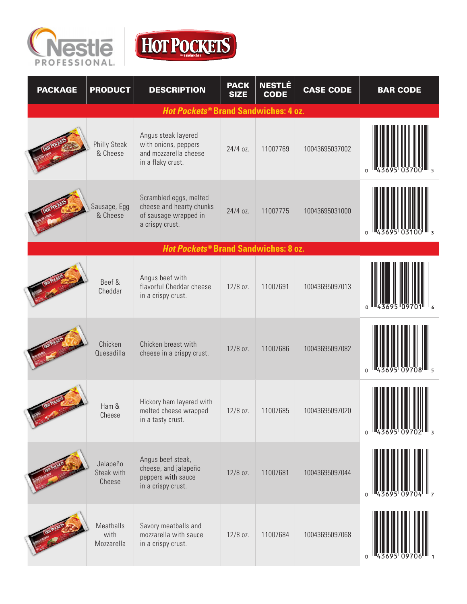



| <b>PACKAGE</b> | <b>PRODUCT</b>                   | <b>DESCRIPTION</b>                                                                             | <b>PACK</b><br><b>SIZE</b> | <b>NESTLÉ</b><br><b>CODE</b> | <b>CASE CODE</b> | <b>BAR CODE</b> |
|----------------|----------------------------------|------------------------------------------------------------------------------------------------|----------------------------|------------------------------|------------------|-----------------|
|                |                                  | Hot Pockets® Brand Sandwiches: 4 oz.                                                           |                            |                              |                  |                 |
|                | <b>Philly Steak</b><br>& Cheese  | Angus steak layered<br>with onions, peppers<br>and mozzarella cheese<br>in a flaky crust.      | $24/4$ oz.                 | 11007769                     | 10043695037002   |                 |
|                | Sausage, Egg<br>& Cheese         | Scrambled eggs, melted<br>cheese and hearty chunks<br>of sausage wrapped in<br>a crispy crust. | 24/4 oz.                   | 11007775                     | 10043695031000   |                 |
|                |                                  | <b>Hot Pockets® Brand Sandwiches: 8 oz.</b>                                                    |                            |                              |                  |                 |
|                | Beef &<br>Cheddar                | Angus beef with<br>flavorful Cheddar cheese<br>in a crispy crust.                              | $12/8$ oz.                 | 11007691                     | 10043695097013   |                 |
|                | Chicken<br>Quesadilla            | Chicken breast with<br>cheese in a crispy crust.                                               | $12/8$ oz.                 | 11007686                     | 10043695097082   | <sub>0</sub>    |
|                | Ham &<br>Cheese                  | Hickory ham layered with<br>melted cheese wrapped<br>in a tasty crust.                         | $12/8$ oz.                 | 11007685                     | 10043695097020   |                 |
|                | Jalapeño<br>Steak with<br>Cheese | Angus beef steak,<br>cheese, and jalapeño<br>peppers with sauce<br>in a crispy crust.          | $12/8$ oz.                 | 11007681                     | 10043695097044   |                 |
|                | Meatballs<br>with<br>Mozzarella  | Savory meatballs and<br>mozzarella with sauce<br>in a crispy crust.                            | 12/8 oz.                   | 11007684                     | 10043695097068   |                 |